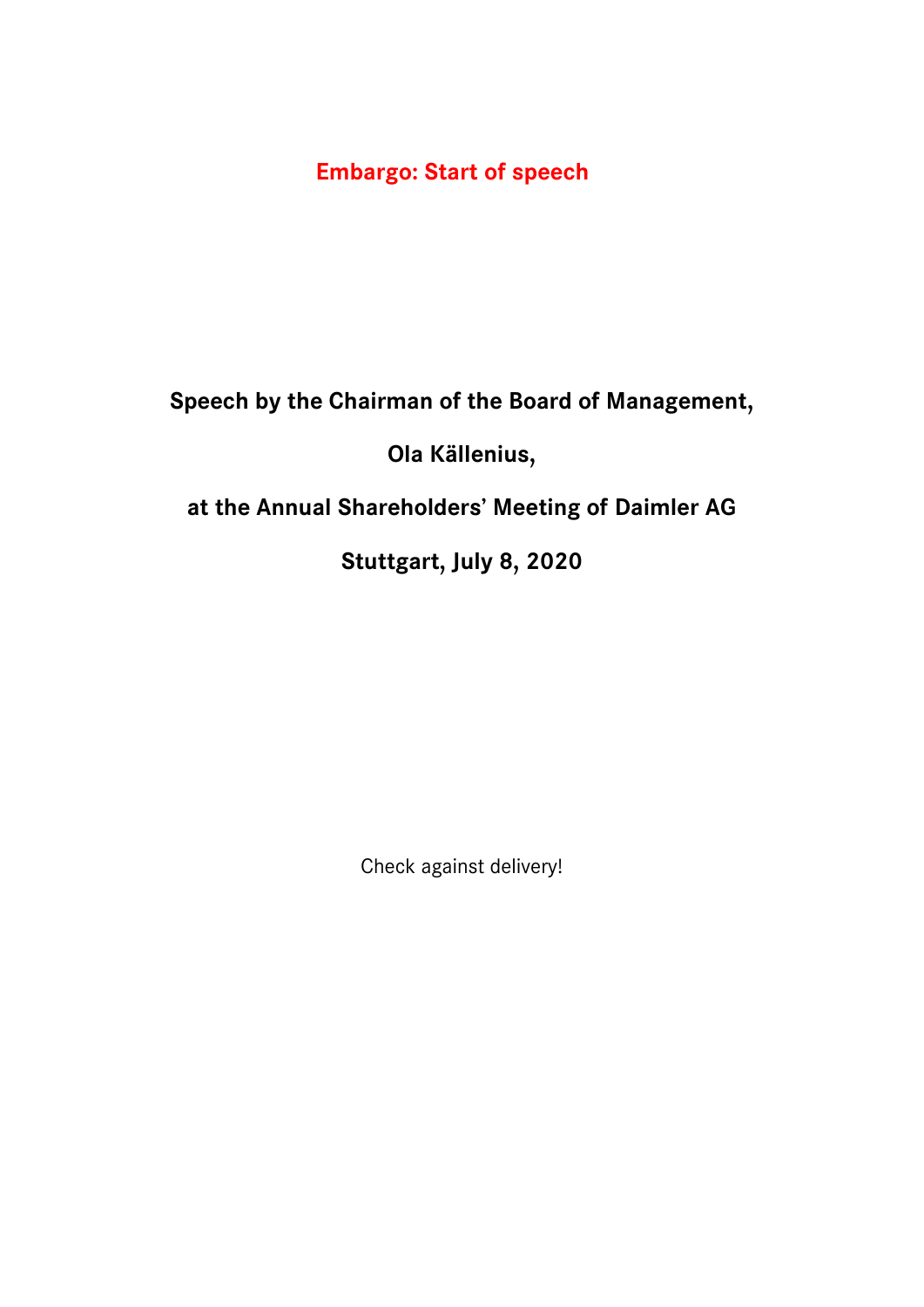**Embargo: Start of speech**

**Speech by the Chairman of the Board of Management,**

**Ola Källenius,**

**at the Annual Shareholders' Meeting of Daimler AG**

**Stuttgart, July 8, 2020**

Check against delivery!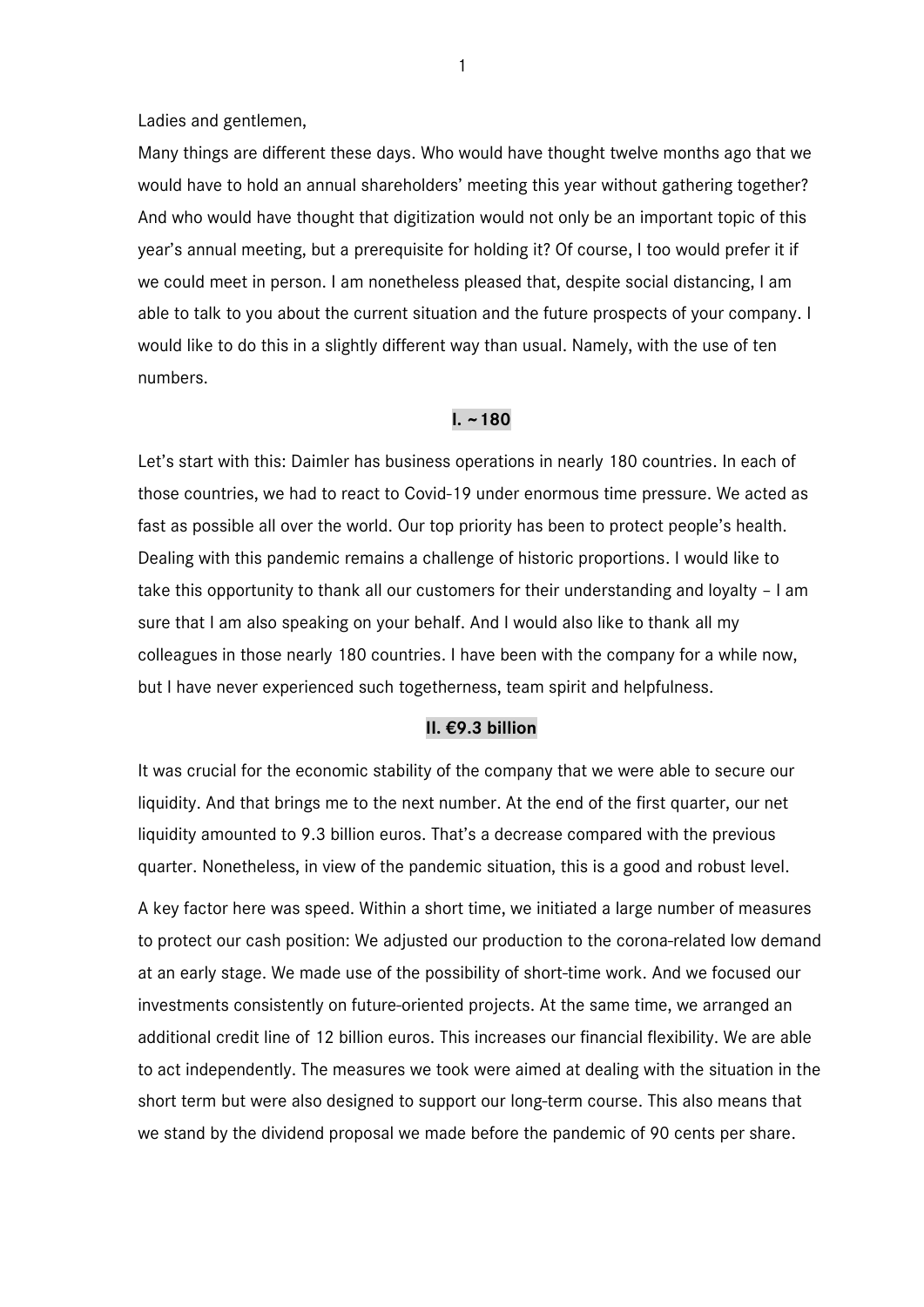Ladies and gentlemen,

Many things are different these days. Who would have thought twelve months ago that we would have to hold an annual shareholders' meeting this year without gathering together? And who would have thought that digitization would not only be an important topic of this year's annual meeting, but a prerequisite for holding it? Of course, I too would prefer it if we could meet in person. I am nonetheless pleased that, despite social distancing, I am able to talk to you about the current situation and the future prospects of your company. I would like to do this in a slightly different way than usual. Namely, with the use of ten numbers.

### **I. ~180**

Let's start with this: Daimler has business operations in nearly 180 countries. In each of those countries, we had to react to Covid-19 under enormous time pressure. We acted as fast as possible all over the world. Our top priority has been to protect people's health. Dealing with this pandemic remains a challenge of historic proportions. I would like to take this opportunity to thank all our customers for their understanding and loyalty – I am sure that I am also speaking on your behalf. And I would also like to thank all my colleagues in those nearly 180 countries. I have been with the company for a while now, but I have never experienced such togetherness, team spirit and helpfulness.

### **II. €9.3 billion**

It was crucial for the economic stability of the company that we were able to secure our liquidity. And that brings me to the next number. At the end of the first quarter, our net liquidity amounted to 9.3 billion euros. That's a decrease compared with the previous quarter. Nonetheless, in view of the pandemic situation, this is a good and robust level.

A key factor here was speed. Within a short time, we initiated a large number of measures to protect our cash position: We adjusted our production to the corona-related low demand at an early stage. We made use of the possibility of short-time work. And we focused our investments consistently on future-oriented projects. At the same time, we arranged an additional credit line of 12 billion euros. This increases our financial flexibility. We are able to act independently. The measures we took were aimed at dealing with the situation in the short term but were also designed to support our long-term course. This also means that we stand by the dividend proposal we made before the pandemic of 90 cents per share.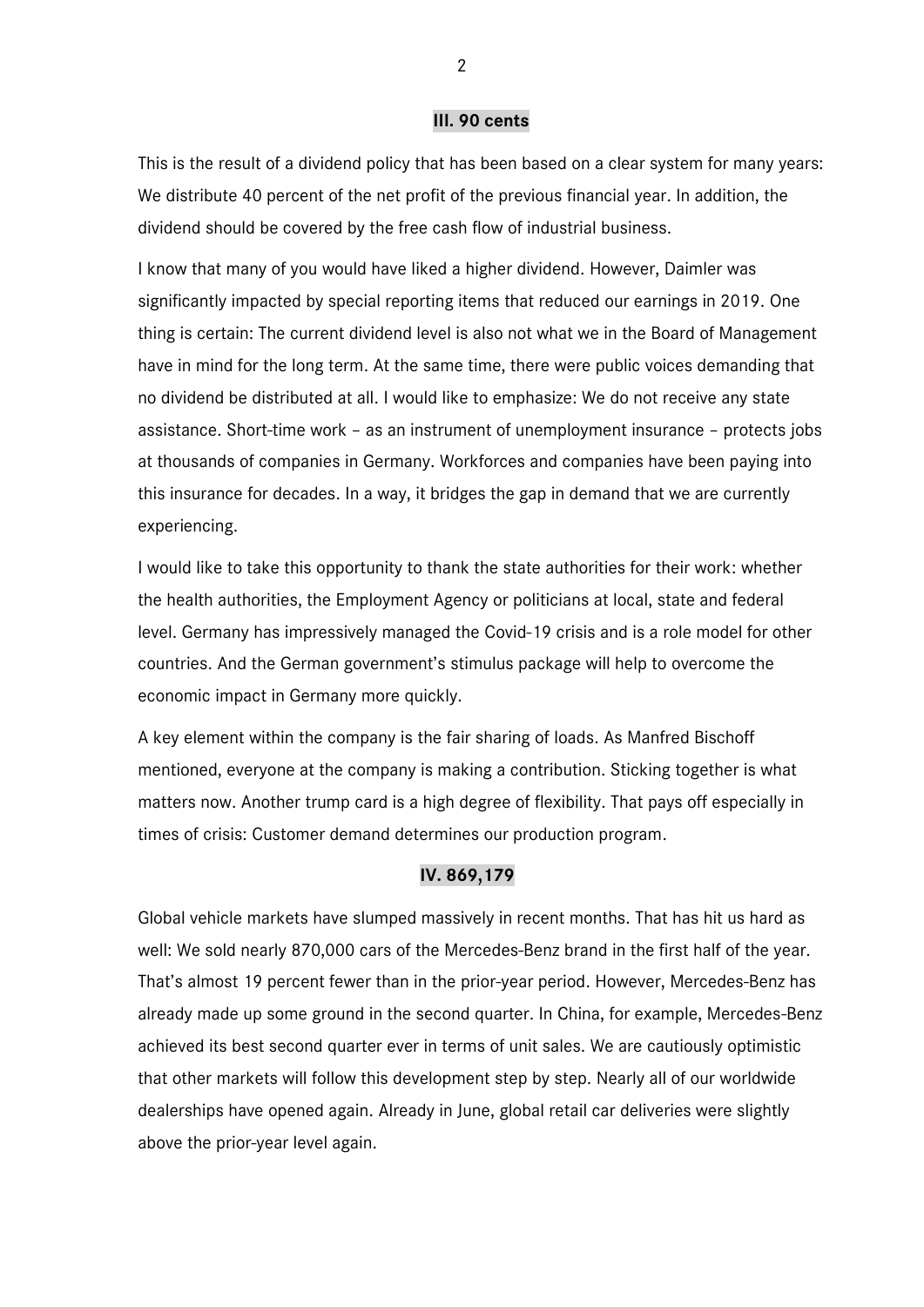#### **III. 90 cents**

This is the result of a dividend policy that has been based on a clear system for many years: We distribute 40 percent of the net profit of the previous financial year. In addition, the dividend should be covered by the free cash flow of industrial business.

I know that many of you would have liked a higher dividend. However, Daimler was significantly impacted by special reporting items that reduced our earnings in 2019. One thing is certain: The current dividend level is also not what we in the Board of Management have in mind for the long term. At the same time, there were public voices demanding that no dividend be distributed at all. I would like to emphasize: We do not receive any state assistance. Short-time work – as an instrument of unemployment insurance – protects jobs at thousands of companies in Germany. Workforces and companies have been paying into this insurance for decades. In a way, it bridges the gap in demand that we are currently experiencing.

I would like to take this opportunity to thank the state authorities for their work: whether the health authorities, the Employment Agency or politicians at local, state and federal level. Germany has impressively managed the Covid-19 crisis and is a role model for other countries. And the German government's stimulus package will help to overcome the economic impact in Germany more quickly.

A key element within the company is the fair sharing of loads. As Manfred Bischoff mentioned, everyone at the company is making a contribution. Sticking together is what matters now. Another trump card is a high degree of flexibility. That pays off especially in times of crisis: Customer demand determines our production program.

# **IV. 869,179**

Global vehicle markets have slumped massively in recent months. That has hit us hard as well: We sold nearly 870,000 cars of the Mercedes-Benz brand in the first half of the year. That's almost 19 percent fewer than in the prior-year period. However, Mercedes-Benz has already made up some ground in the second quarter. In China, for example, Mercedes-Benz achieved its best second quarter ever in terms of unit sales. We are cautiously optimistic that other markets will follow this development step by step. Nearly all of our worldwide dealerships have opened again. Already in June, global retail car deliveries were slightly above the prior-year level again.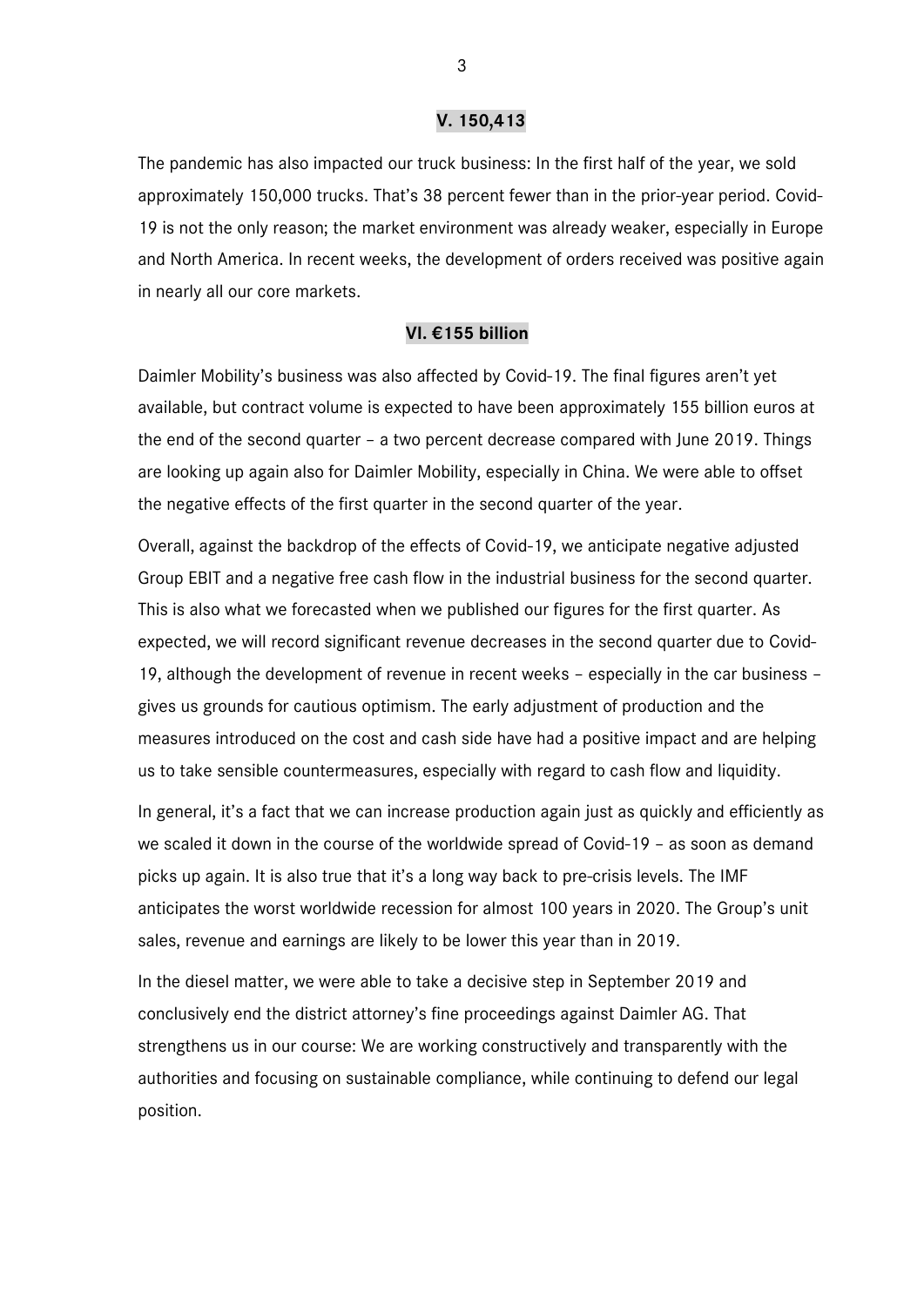### **V. 150,413**

The pandemic has also impacted our truck business: In the first half of the year, we sold approximately 150,000 trucks. That's 38 percent fewer than in the prior-year period. Covid-19 is not the only reason; the market environment was already weaker, especially in Europe and North America. In recent weeks, the development of orders received was positive again in nearly all our core markets.

## **VI. €155 billion**

Daimler Mobility's business was also affected by Covid-19. The final figures aren't yet available, but contract volume is expected to have been approximately 155 billion euros at the end of the second quarter – a two percent decrease compared with June 2019. Things are looking up again also for Daimler Mobility, especially in China. We were able to offset the negative effects of the first quarter in the second quarter of the year.

Overall, against the backdrop of the effects of Covid-19, we anticipate negative adjusted Group EBIT and a negative free cash flow in the industrial business for the second quarter. This is also what we forecasted when we published our figures for the first quarter. As expected, we will record significant revenue decreases in the second quarter due to Covid-19, although the development of revenue in recent weeks – especially in the car business – gives us grounds for cautious optimism. The early adjustment of production and the measures introduced on the cost and cash side have had a positive impact and are helping us to take sensible countermeasures, especially with regard to cash flow and liquidity.

In general, it's a fact that we can increase production again just as quickly and efficiently as we scaled it down in the course of the worldwide spread of Covid-19 – as soon as demand picks up again. It is also true that it's a long way back to pre-crisis levels. The IMF anticipates the worst worldwide recession for almost 100 years in 2020. The Group's unit sales, revenue and earnings are likely to be lower this year than in 2019.

In the diesel matter, we were able to take a decisive step in September 2019 and conclusively end the district attorney's fine proceedings against Daimler AG. That strengthens us in our course: We are working constructively and transparently with the authorities and focusing on sustainable compliance, while continuing to defend our legal position.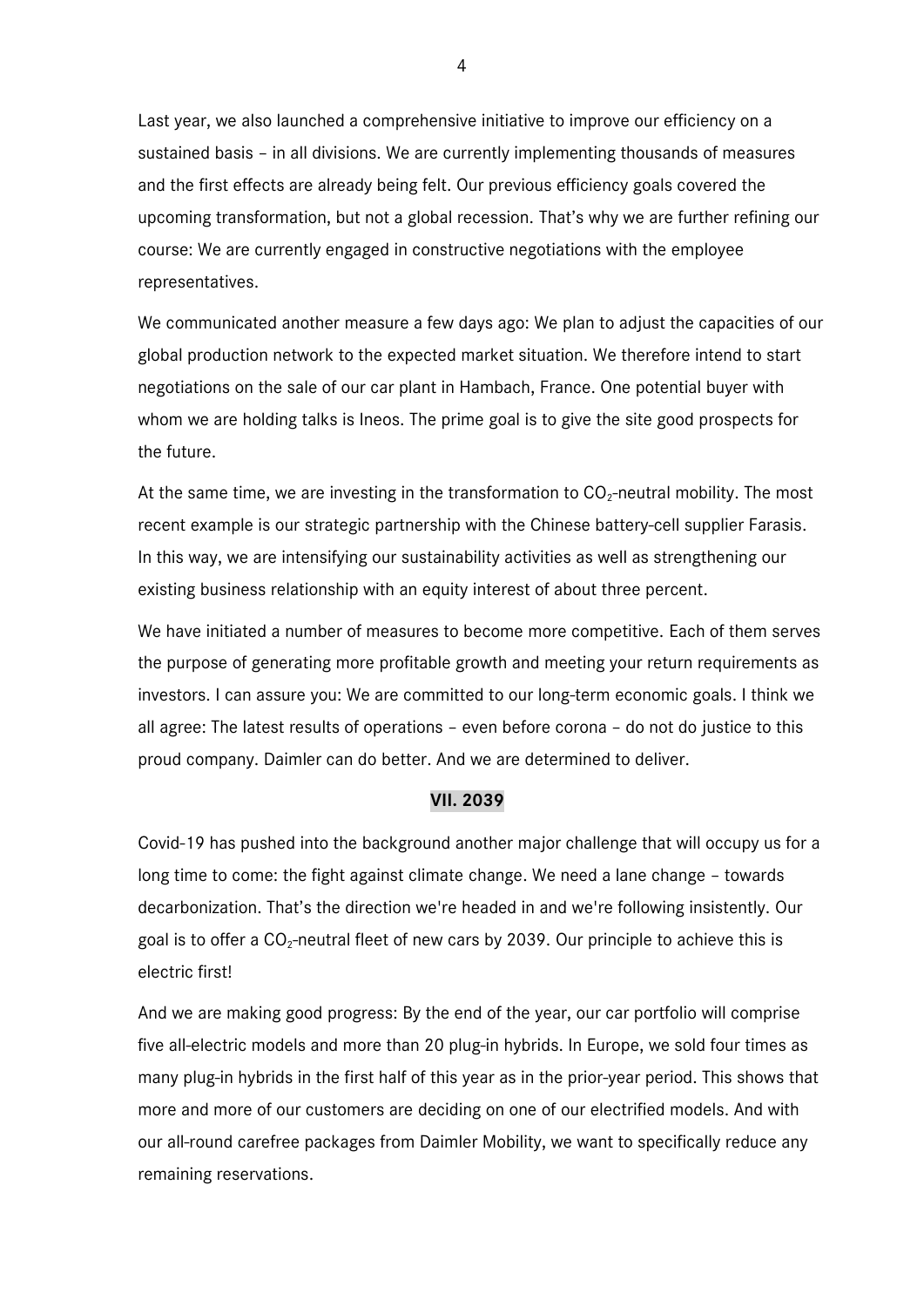Last year, we also launched a comprehensive initiative to improve our efficiency on a sustained basis – in all divisions. We are currently implementing thousands of measures and the first effects are already being felt. Our previous efficiency goals covered the upcoming transformation, but not a global recession. That's why we are further refining our course: We are currently engaged in constructive negotiations with the employee representatives.

We communicated another measure a few days ago: We plan to adjust the capacities of our global production network to the expected market situation. We therefore intend to start negotiations on the sale of our car plant in Hambach, France. One potential buyer with whom we are holding talks is Ineos. The prime goal is to give the site good prospects for the future.

At the same time, we are investing in the transformation to  $CO<sub>2</sub>$ -neutral mobility. The most recent example is our strategic partnership with the Chinese battery-cell supplier Farasis. In this way, we are intensifying our sustainability activities as well as strengthening our existing business relationship with an equity interest of about three percent.

We have initiated a number of measures to become more competitive. Each of them serves the purpose of generating more profitable growth and meeting your return requirements as investors. I can assure you: We are committed to our long-term economic goals. I think we all agree: The latest results of operations – even before corona – do not do justice to this proud company. Daimler can do better. And we are determined to deliver.

### **VII. 2039**

Covid-19 has pushed into the background another major challenge that will occupy us for a long time to come: the fight against climate change. We need a lane change – towards decarbonization. That's the direction we're headed in and we're following insistently. Our goal is to offer a  $CO<sub>2</sub>$ -neutral fleet of new cars by 2039. Our principle to achieve this is electric first!

And we are making good progress: By the end of the year, our car portfolio will comprise five all-electric models and more than 20 plug-in hybrids. In Europe, we sold four times as many plug-in hybrids in the first half of this year as in the prior-year period. This shows that more and more of our customers are deciding on one of our electrified models. And with our all-round carefree packages from Daimler Mobility, we want to specifically reduce any remaining reservations.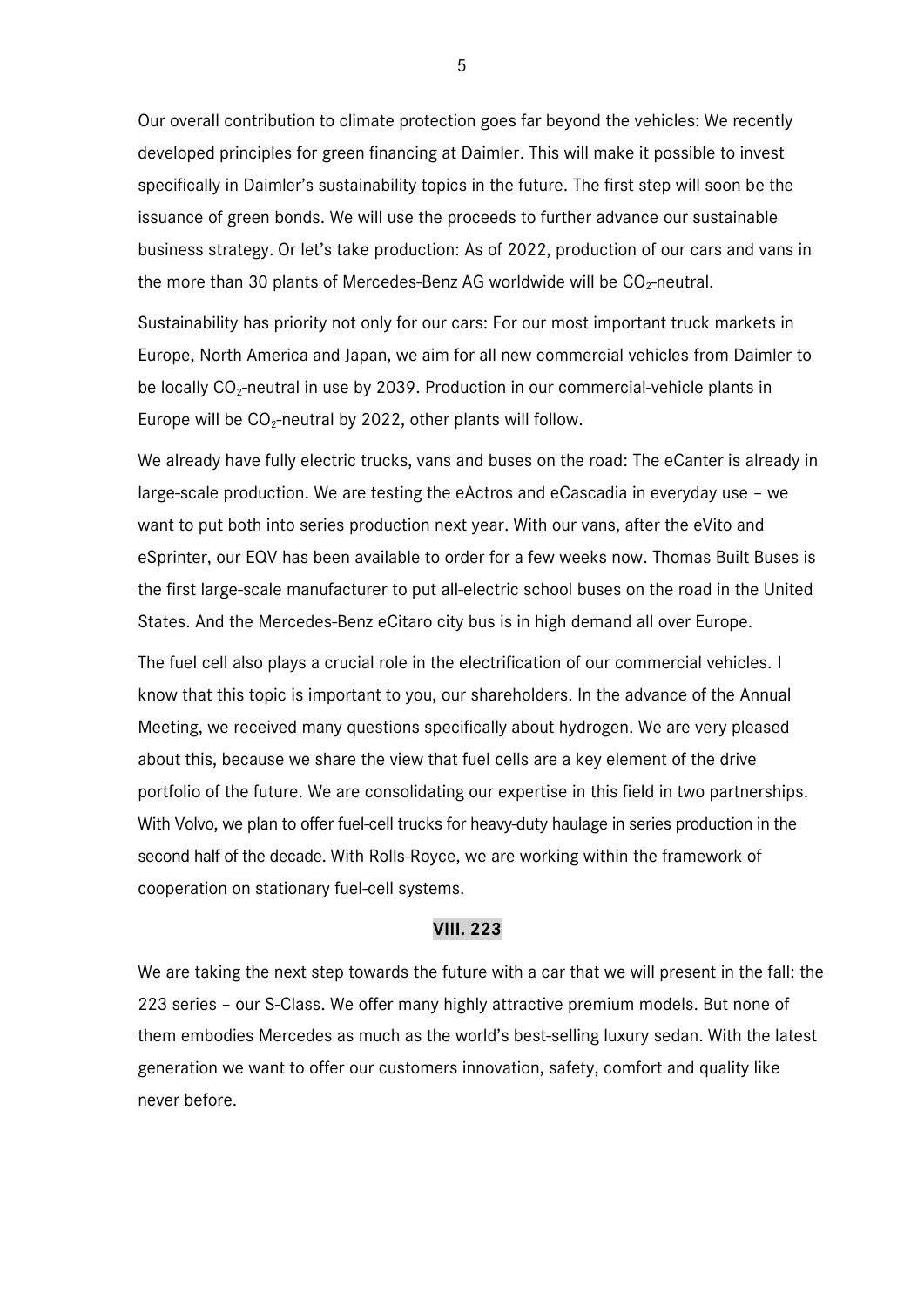Our overall contribution to climate protection goes far beyond the vehicles: We recently developed principles for green financing at Daimler. This will make it possible to invest specifically in Daimler's sustainability topics in the future. The first step will soon be the issuance of green bonds. We will use the proceeds to further advance our sustainable business strategy. Or let's take production: As of 2022, production of our cars and vans in the more than 30 plants of Mercedes-Benz AG worldwide will be  $CO<sub>2</sub>$ -neutral.

Sustainability has priority not only for our cars: For our most important truck markets in Europe, North America and Japan, we aim for all new commercial vehicles from Daimler to be locally  $CO<sub>2</sub>$ -neutral in use by 2039. Production in our commercial-vehicle plants in Europe will be  $CO_2$ -neutral by 2022, other plants will follow.

We already have fully electric trucks, vans and buses on the road: The eCanter is already in large-scale production. We are testing the eActros and eCascadia in everyday use – we want to put both into series production next year. With our vans, after the eVito and eSprinter, our EQV has been available to order for a few weeks now. Thomas Built Buses is the first large-scale manufacturer to put all-electric school buses on the road in the United States. And the Mercedes-Benz eCitaro city bus is in high demand all over Europe.

The fuel cell also plays a crucial role in the electrification of our commercial vehicles. I know that this topic is important to you, our shareholders. In the advance of the Annual Meeting, we received many questions specifically about hydrogen. We are very pleased about this, because we share the view that fuel cells are a key element of the drive portfolio of the future. We are consolidating our expertise in this field in two partnerships. With Volvo, we plan to offer fuel-cell trucks for heavy-duty haulage in series production in the second half of the decade. With Rolls-Royce, we are working within the framework of cooperation on stationary fuel-cell systems.

### **VIII. 223**

We are taking the next step towards the future with a car that we will present in the fall: the 223 series – our S-Class. We offer many highly attractive premium models. But none of them embodies Mercedes as much as the world's best-selling luxury sedan. With the latest generation we want to offer our customers innovation, safety, comfort and quality like never before.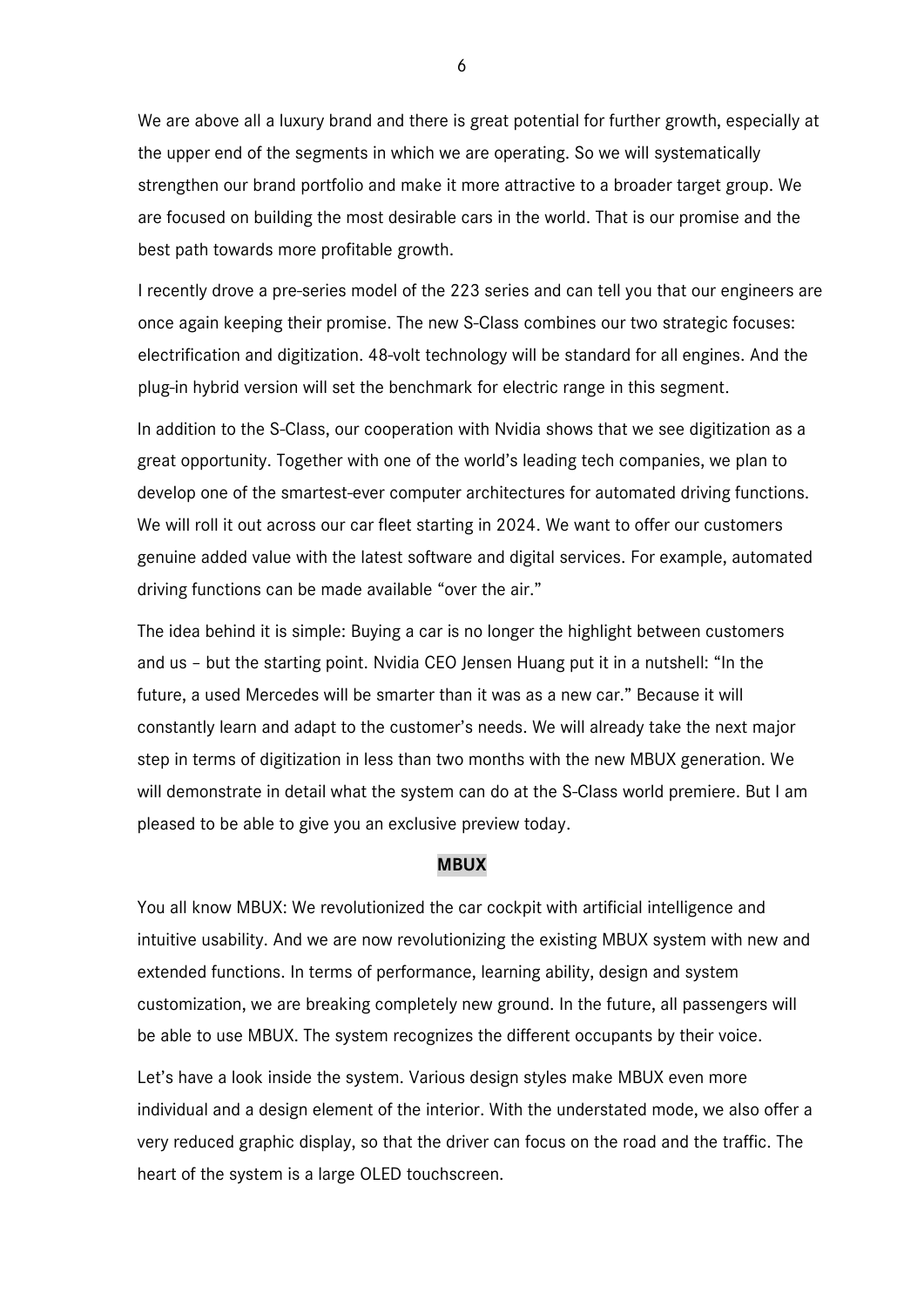We are above all a luxury brand and there is great potential for further growth, especially at the upper end of the segments in which we are operating. So we will systematically strengthen our brand portfolio and make it more attractive to a broader target group. We are focused on building the most desirable cars in the world. That is our promise and the best path towards more profitable growth.

I recently drove a pre-series model of the 223 series and can tell you that our engineers are once again keeping their promise. The new S-Class combines our two strategic focuses: electrification and digitization. 48-volt technology will be standard for all engines. And the plug-in hybrid version will set the benchmark for electric range in this segment.

In addition to the S-Class, our cooperation with Nvidia shows that we see digitization as a great opportunity. Together with one of the world's leading tech companies, we plan to develop one of the smartest-ever computer architectures for automated driving functions. We will roll it out across our car fleet starting in 2024. We want to offer our customers genuine added value with the latest software and digital services. For example, automated driving functions can be made available "over the air."

The idea behind it is simple: Buying a car is no longer the highlight between customers and us – but the starting point. Nvidia CEO Jensen Huang put it in a nutshell: "In the future, a used Mercedes will be smarter than it was as a new car." Because it will constantly learn and adapt to the customer's needs. We will already take the next major step in terms of digitization in less than two months with the new MBUX generation. We will demonstrate in detail what the system can do at the S-Class world premiere. But I am pleased to be able to give you an exclusive preview today.

### **MBUX**

You all know MBUX: We revolutionized the car cockpit with artificial intelligence and intuitive usability. And we are now revolutionizing the existing MBUX system with new and extended functions. In terms of performance, learning ability, design and system customization, we are breaking completely new ground. In the future, all passengers will be able to use MBUX. The system recognizes the different occupants by their voice.

Let's have a look inside the system. Various design styles make MBUX even more individual and a design element of the interior. With the understated mode, we also offer a very reduced graphic display, so that the driver can focus on the road and the traffic. The heart of the system is a large OLED touchscreen.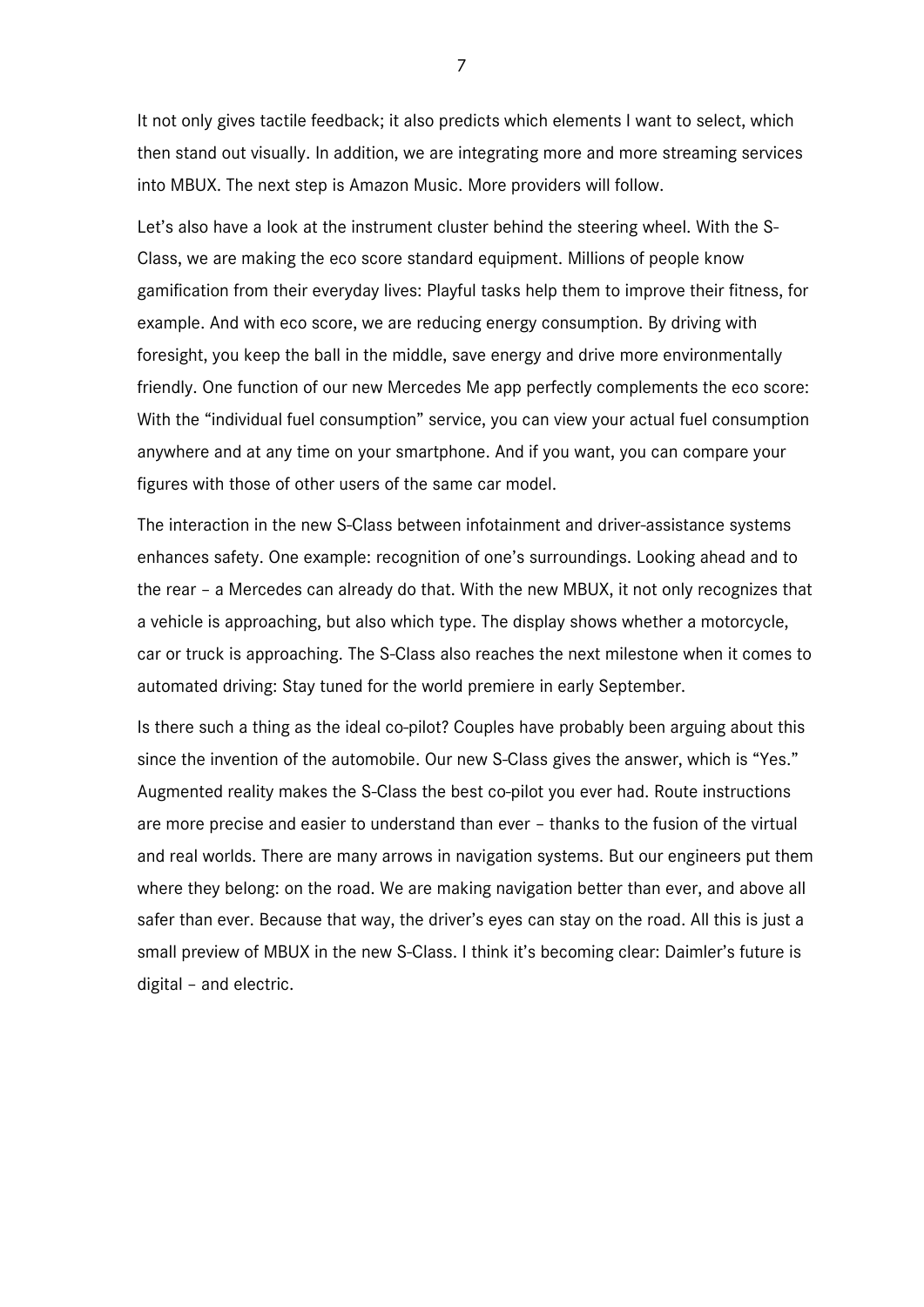It not only gives tactile feedback; it also predicts which elements I want to select, which then stand out visually. In addition, we are integrating more and more streaming services into MBUX. The next step is Amazon Music. More providers will follow.

Let's also have a look at the instrument cluster behind the steering wheel. With the S-Class, we are making the eco score standard equipment. Millions of people know gamification from their everyday lives: Playful tasks help them to improve their fitness, for example. And with eco score, we are reducing energy consumption. By driving with foresight, you keep the ball in the middle, save energy and drive more environmentally friendly. One function of our new Mercedes Me app perfectly complements the eco score: With the "individual fuel consumption" service, you can view your actual fuel consumption anywhere and at any time on your smartphone. And if you want, you can compare your figures with those of other users of the same car model.

The interaction in the new S-Class between infotainment and driver-assistance systems enhances safety. One example: recognition of one's surroundings. Looking ahead and to the rear – a Mercedes can already do that. With the new MBUX, it not only recognizes that a vehicle is approaching, but also which type. The display shows whether a motorcycle, car or truck is approaching. The S-Class also reaches the next milestone when it comes to automated driving: Stay tuned for the world premiere in early September.

Is there such a thing as the ideal co-pilot? Couples have probably been arguing about this since the invention of the automobile. Our new S-Class gives the answer, which is "Yes." Augmented reality makes the S-Class the best co-pilot you ever had. Route instructions are more precise and easier to understand than ever – thanks to the fusion of the virtual and real worlds. There are many arrows in navigation systems. But our engineers put them where they belong: on the road. We are making navigation better than ever, and above all safer than ever. Because that way, the driver's eyes can stay on the road. All this is just a small preview of MBUX in the new S-Class. I think it's becoming clear: Daimler's future is digital – and electric.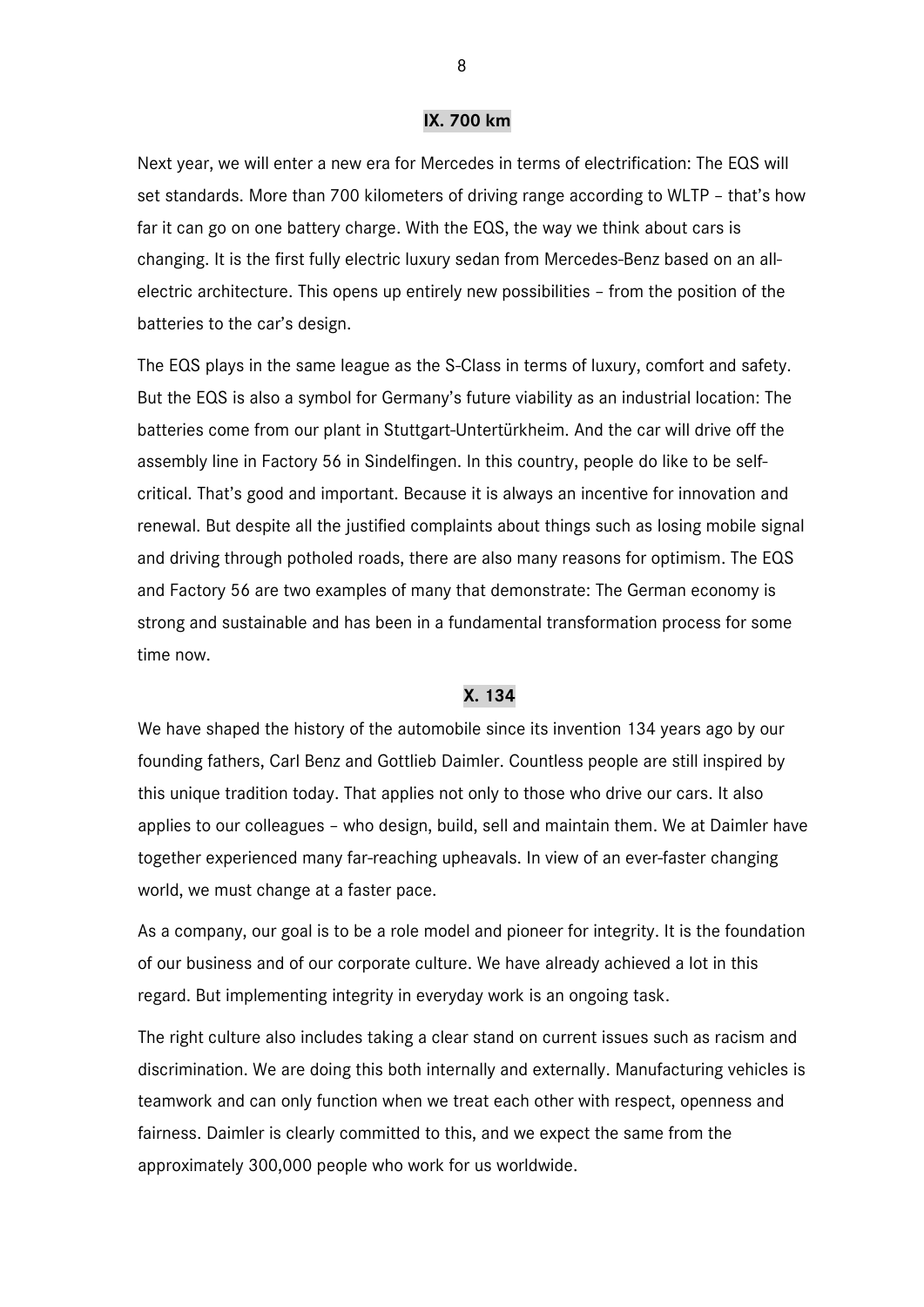### **IX. 700 km**

Next year, we will enter a new era for Mercedes in terms of electrification: The EQS will set standards. More than 700 kilometers of driving range according to WLTP – that's how far it can go on one battery charge. With the EQS, the way we think about cars is changing. It is the first fully electric luxury sedan from Mercedes-Benz based on an allelectric architecture. This opens up entirely new possibilities – from the position of the batteries to the car's design.

The EQS plays in the same league as the S-Class in terms of luxury, comfort and safety. But the EQS is also a symbol for Germany's future viability as an industrial location: The batteries come from our plant in Stuttgart-Untertürkheim. And the car will drive off the assembly line in Factory 56 in Sindelfingen. In this country, people do like to be selfcritical. That's good and important. Because it is always an incentive for innovation and renewal. But despite all the justified complaints about things such as losing mobile signal and driving through potholed roads, there are also many reasons for optimism. The EQS and Factory 56 are two examples of many that demonstrate: The German economy is strong and sustainable and has been in a fundamental transformation process for some time now.

### **X. 134**

We have shaped the history of the automobile since its invention 134 years ago by our founding fathers, Carl Benz and Gottlieb Daimler. Countless people are still inspired by this unique tradition today. That applies not only to those who drive our cars. It also applies to our colleagues – who design, build, sell and maintain them. We at Daimler have together experienced many far-reaching upheavals. In view of an ever-faster changing world, we must change at a faster pace.

As a company, our goal is to be a role model and pioneer for integrity. It is the foundation of our business and of our corporate culture. We have already achieved a lot in this regard. But implementing integrity in everyday work is an ongoing task.

The right culture also includes taking a clear stand on current issues such as racism and discrimination. We are doing this both internally and externally. Manufacturing vehicles is teamwork and can only function when we treat each other with respect, openness and fairness. Daimler is clearly committed to this, and we expect the same from the approximately 300,000 people who work for us worldwide.